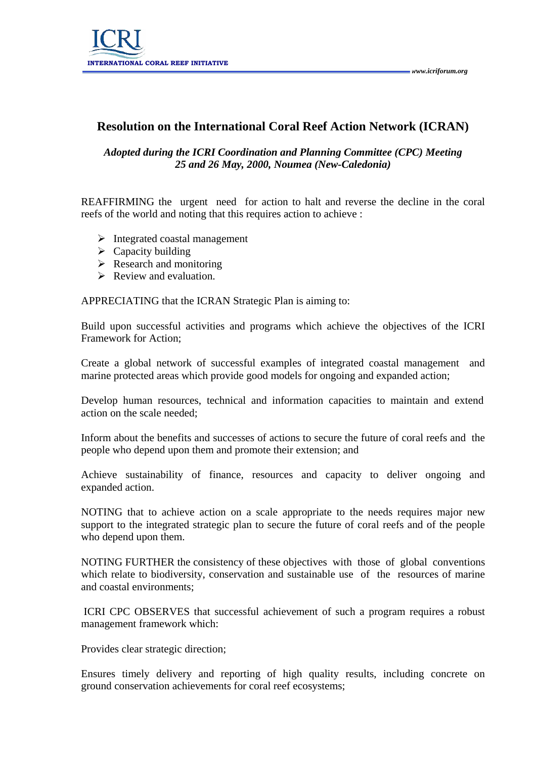

## **Resolution on the International Coral Reef Action Network (ICRAN)**

## *Adopted during the ICRI Coordination and Planning Committee (CPC) Meeting 25 and 26 May, 2000, Noumea (New-Caledonia)*

REAFFIRMING the urgent need for action to halt and reverse the decline in the coral reefs of the world and noting that this requires action to achieve :

- $\triangleright$  Integrated coastal management
- $\triangleright$  Capacity building
- $\triangleright$  Research and monitoring
- $\triangleright$  Review and evaluation.

APPRECIATING that the ICRAN Strategic Plan is aiming to:

Build upon successful activities and programs which achieve the objectives of the ICRI Framework for Action;

Create a global network of successful examples of integrated coastal management and marine protected areas which provide good models for ongoing and expanded action;

Develop human resources, technical and information capacities to maintain and extend action on the scale needed;

Inform about the benefits and successes of actions to secure the future of coral reefs and the people who depend upon them and promote their extension; and

Achieve sustainability of finance, resources and capacity to deliver ongoing and expanded action.

NOTING that to achieve action on a scale appropriate to the needs requires major new support to the integrated strategic plan to secure the future of coral reefs and of the people who depend upon them.

NOTING FURTHER the consistency of these objectives with those of global conventions which relate to biodiversity, conservation and sustainable use of the resources of marine and coastal environments;

 ICRI CPC OBSERVES that successful achievement of such a program requires a robust management framework which:

Provides clear strategic direction;

Ensures timely delivery and reporting of high quality results, including concrete on ground conservation achievements for coral reef ecosystems;